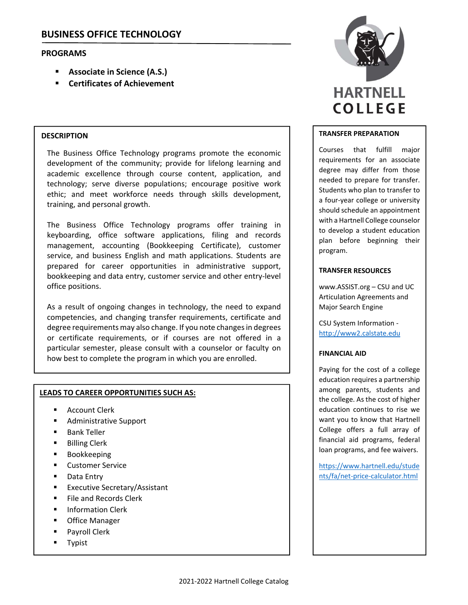## **PROGRAMS**

- **Associate in Science (A.S.)**
- **Certificates of Achievement**

## **DESCRIPTION**

The Business Office Technology programs promote the economic development of the community; provide for lifelong learning and academic excellence through course content, application, and technology; serve diverse populations; encourage positive work ethic; and meet workforce needs through skills development, training, and personal growth.

The Business Office Technology programs offer training in keyboarding, office software applications, filing and records management, accounting (Bookkeeping Certificate), customer service, and business English and math applications. Students are prepared for career opportunities in administrative support, bookkeeping and data entry, customer service and other entry‐level office positions.

As a result of ongoing changes in technology, the need to expand competencies, and changing transfer requirements, certificate and degree requirements may also change. If you note changes in degrees or certificate requirements, or if courses are not offered in a particular semester, please consult with a counselor or faculty on how best to complete the program in which you are enrolled.

## **LEADS TO CAREER OPPORTUNITIES SUCH AS:**

- Account Clerk
- Administrative Support
- Bank Teller
- Billing Clerk
- Bookkeeping
- **E** Customer Service
- Data Entry
- **Executive Secretary/Assistant**
- File and Records Clerk
- Information Clerk
- Office Manager
- Payroll Clerk
- Typist



#### **TRANSFER PREPARATION**

Courses that fulfill major requirements for an associate degree may differ from those needed to prepare for transfer. Students who plan to transfer to a four‐year college or university should schedule an appointment with a Hartnell College counselor to develop a student education plan before beginning their program.

#### **TRANSFER RESOURCES**

www.ASSIST.org – CSU and UC Articulation Agreements and Major Search Engine

CSU System Information ‐ http://www2.calstate.edu

#### **FINANCIAL AID**

Paying for the cost of a college education requires a partnership among parents, students and the college. As the cost of higher education continues to rise we want you to know that Hartnell College offers a full array of financial aid programs, federal loan programs, and fee waivers.

https://www.hartnell.edu/stude nts/fa/net‐price‐calculator.html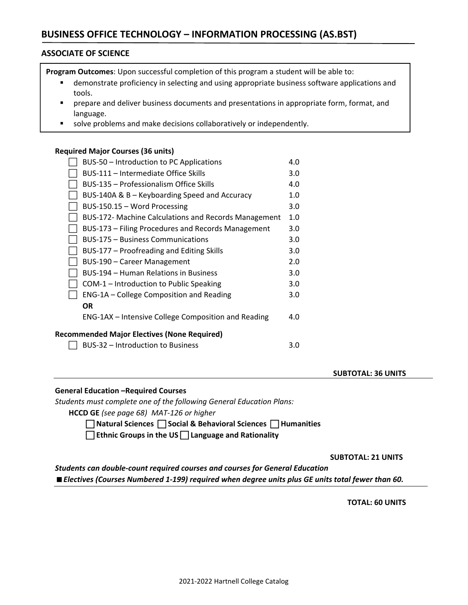# **BUSINESS OFFICE TECHNOLOGY – INFORMATION PROCESSING (AS.BST)**

## **ASSOCIATE OF SCIENCE**

**Program Outcomes**: Upon successful completion of this program a student will be able to:

- demonstrate proficiency in selecting and using appropriate business software applications and tools.
- **Perepare and deliver business documents and presentations in appropriate form, format, and** language.
- solve problems and make decisions collaboratively or independently.

## **Required Major Courses (36 units)**

| BUS-50 - Introduction to PC Applications             | 4.0 |  |  |
|------------------------------------------------------|-----|--|--|
| BUS-111 – Intermediate Office Skills                 | 3.0 |  |  |
| BUS-135 - Professionalism Office Skills              | 4.0 |  |  |
| BUS-140A & B – Keyboarding Speed and Accuracy        | 1.0 |  |  |
| BUS-150.15 - Word Processing                         | 3.0 |  |  |
| BUS-172- Machine Calculations and Records Management | 1.0 |  |  |
| BUS-173 - Filing Procedures and Records Management   | 3.0 |  |  |
| <b>BUS-175 – Business Communications</b>             | 3.0 |  |  |
| BUS-177 - Proofreading and Editing Skills            | 3.0 |  |  |
| BUS-190 - Career Management                          | 2.0 |  |  |
| BUS-194 – Human Relations in Business                | 3.0 |  |  |
| COM-1 - Introduction to Public Speaking              | 3.0 |  |  |
| ENG-1A - College Composition and Reading             | 3.0 |  |  |
| OR                                                   |     |  |  |
| ENG-1AX – Intensive College Composition and Reading  | 4.0 |  |  |
| <b>Recommended Major Electives (None Required)</b>   |     |  |  |
| BUS-32 - Introduction to Business                    | 3.0 |  |  |

#### **SUBTOTAL: 36 UNITS**

## **General Education –Required Courses**

*Students must complete one of the following General Education Plans:*

**HCCD GE** *(see page 68) MAT‐126 or higher*

 **Natural Sciences Social & Behavioral Sciences Humanities** 

**Ethnic Groups in the US Language and Rationality**

 **SUBTOTAL: 21 UNITS** 

*Students can double‐count required courses and courses for General Education Electives (Courses Numbered 1‐199) required when degree units plus GE units total fewer than 60.*

 **TOTAL: 60 UNITS**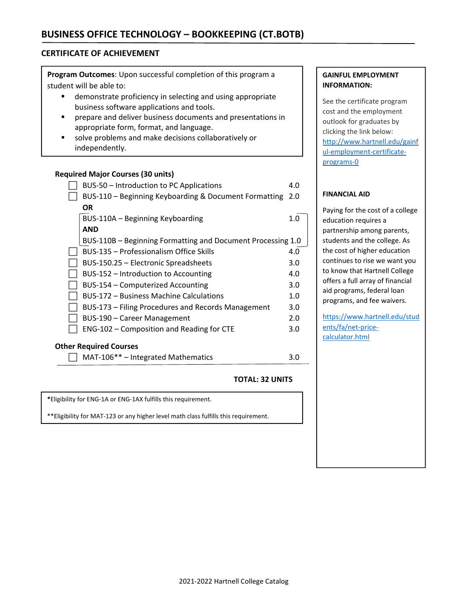## **CERTIFICATE OF ACHIEVEMENT**

**Program Outcomes**: Upon successful completion of this program a student will be able to:

- **EXECT** demonstrate proficiency in selecting and using appropriate business software applications and tools.
- prepare and deliver business documents and presentations in appropriate form, format, and language.
- solve problems and make decisions collaboratively or independently.

## **Required Major Courses (30 units)**

| BUS-50 - Introduction to PC Applications                    | 4.0 |  |  |  |
|-------------------------------------------------------------|-----|--|--|--|
| BUS-110 - Beginning Keyboarding & Document Formatting       | 2.0 |  |  |  |
| OR.                                                         |     |  |  |  |
| BUS-110A - Beginning Keyboarding                            | 1.0 |  |  |  |
| <b>AND</b>                                                  |     |  |  |  |
| BUS-110B - Beginning Formatting and Document Processing 1.0 |     |  |  |  |
| BUS-135 – Professionalism Office Skills                     | 4.0 |  |  |  |
| BUS-150.25 - Electronic Spreadsheets                        | 3.0 |  |  |  |
| BUS-152 – Introduction to Accounting                        | 4.0 |  |  |  |
| BUS-154 - Computerized Accounting                           | 3.0 |  |  |  |
| <b>BUS-172 - Business Machine Calculations</b>              | 1.0 |  |  |  |
| BUS-173 - Filing Procedures and Records Management          | 3.0 |  |  |  |
| BUS-190 - Career Management                                 | 2.0 |  |  |  |
| ENG-102 - Composition and Reading for CTE                   | 3.0 |  |  |  |
| <b>Other Required Courses</b>                               |     |  |  |  |

 $\Box$  MAT-106\*\* – Integrated Mathematics 3.0

## **TOTAL: 32 UNITS**

**\***Eligibility for ENG‐1A or ENG‐1AX fulfills this requirement.

\*\*Eligibility for MAT‐123 or any higher level math class fulfills this requirement.

## **GAINFUL EMPLOYMENT INFORMATION:**

See the certificate program cost and the employment outlook for graduates by clicking the link below: http://www.hartnell.edu/gainf ul-employment-certificateprograms‐0

## **FINANCIAL AID**

Paying for the cost of a college education requires a partnership among parents, students and the college. As the cost of higher education continues to rise we want you to know that Hartnell College offers a full array of financial aid programs, federal loan programs, and fee waivers.

https://www.hartnell.edu/stud ents/fa/net-pricecalculator.html

the contract of the contract of the